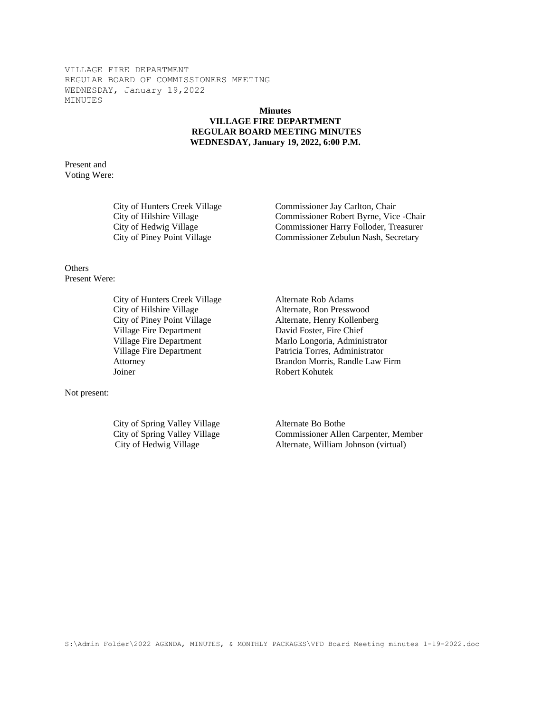## **Minutes VILLAGE FIRE DEPARTMENT REGULAR BOARD MEETING MINUTES WEDNESDAY, January 19, 2022, 6:00 P.M.**

Present and Voting Were:

City of Hunters Creek Village Commissioner Jay Carlton, Chair City of Hilshire Village Commissioner Robert Byrne, Vice -Chair City of Hedwig Village Commissioner Harry Folloder, Treasurer City of Piney Point Village Commissioner Zebulun Nash, Secretary

**Others** Present Were:

> City of Hunters Creek Village Alternate Rob Adams City of Hilshire Village Alternate, Ron Presswood City of Piney Point Village Alternate, Henry Kollenberg Village Fire Department David Foster, Fire Chief Joiner Robert Kohutek

Not present:

City of Spring Valley Village Alternate Bo Bothe

Village Fire Department Marlo Longoria, Administrator Village Fire Department Patricia Torres, Administrator Attorney Brandon Morris, Randle Law Firm

City of Spring Valley Village Commissioner Allen Carpenter, Member City of Hedwig Village Alternate, William Johnson (virtual)

S:\Admin Folder\2022 AGENDA, MINUTES, & MONTHLY PACKAGES\VFD Board Meeting minutes 1-19-2022.doc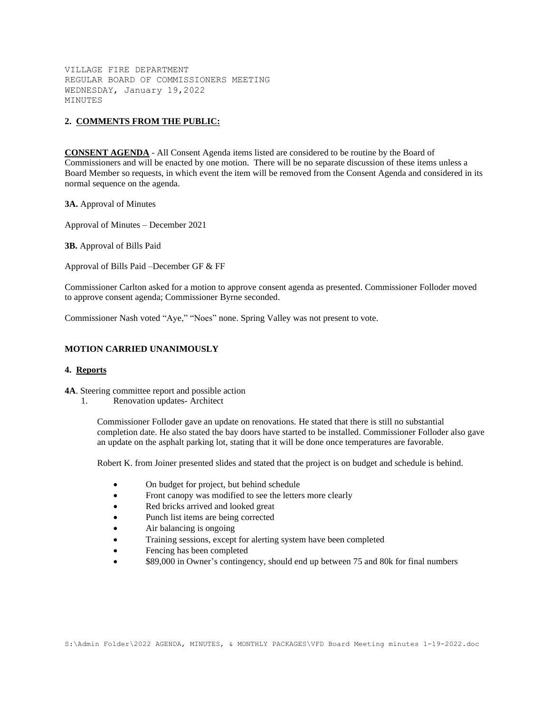## **2. COMMENTS FROM THE PUBLIC:**

**CONSENT AGENDA** - All Consent Agenda items listed are considered to be routine by the Board of Commissioners and will be enacted by one motion. There will be no separate discussion of these items unless a Board Member so requests, in which event the item will be removed from the Consent Agenda and considered in its normal sequence on the agenda.

**3A.** Approval of Minutes

Approval of Minutes – December 2021

**3B.** Approval of Bills Paid

Approval of Bills Paid –December GF & FF

Commissioner Carlton asked for a motion to approve consent agenda as presented. Commissioner Folloder moved to approve consent agenda; Commissioner Byrne seconded.

Commissioner Nash voted "Aye," "Noes" none. Spring Valley was not present to vote.

#### **MOTION CARRIED UNANIMOUSLY**

#### **4. Reports**

**4A**. Steering committee report and possible action

1. Renovation updates- Architect

Commissioner Folloder gave an update on renovations. He stated that there is still no substantial completion date. He also stated the bay doors have started to be installed. Commissioner Folloder also gave an update on the asphalt parking lot, stating that it will be done once temperatures are favorable.

Robert K. from Joiner presented slides and stated that the project is on budget and schedule is behind.

- On budget for project, but behind schedule
- Front canopy was modified to see the letters more clearly
- Red bricks arrived and looked great
- Punch list items are being corrected
- Air balancing is ongoing
- Training sessions, except for alerting system have been completed
- Fencing has been completed
- \$89,000 in Owner's contingency, should end up between 75 and 80k for final numbers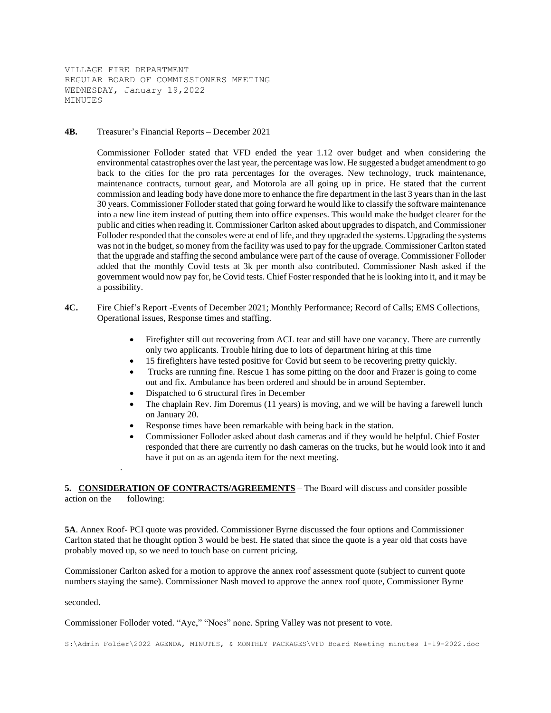**4B.** Treasurer's Financial Reports – December 2021

Commissioner Folloder stated that VFD ended the year 1.12 over budget and when considering the environmental catastrophes over the last year, the percentage was low. He suggested a budget amendment to go back to the cities for the pro rata percentages for the overages. New technology, truck maintenance, maintenance contracts, turnout gear, and Motorola are all going up in price. He stated that the current commission and leading body have done more to enhance the fire department in the last 3 years than in the last 30 years. Commissioner Folloder stated that going forward he would like to classify the software maintenance into a new line item instead of putting them into office expenses. This would make the budget clearer for the public and cities when reading it. Commissioner Carlton asked about upgrades to dispatch, and Commissioner Folloder responded that the consoles were at end of life, and they upgraded the systems. Upgrading the systems was not in the budget, so money from the facility was used to pay for the upgrade. Commissioner Carlton stated that the upgrade and staffing the second ambulance were part of the cause of overage. Commissioner Folloder added that the monthly Covid tests at 3k per month also contributed. Commissioner Nash asked if the government would now pay for, he Covid tests. Chief Foster responded that he is looking into it, and it may be a possibility.

- **4C.** Fire Chief's Report -Events of December 2021; Monthly Performance; Record of Calls; EMS Collections, Operational issues, Response times and staffing.
	- Firefighter still out recovering from ACL tear and still have one vacancy. There are currently only two applicants. Trouble hiring due to lots of department hiring at this time
	- 15 firefighters have tested positive for Covid but seem to be recovering pretty quickly.
	- Trucks are running fine. Rescue 1 has some pitting on the door and Frazer is going to come out and fix. Ambulance has been ordered and should be in around September.
	- Dispatched to 6 structural fires in December
	- The chaplain Rev. Jim Doremus (11 years) is moving, and we will be having a farewell lunch on January 20.
	- Response times have been remarkable with being back in the station.
	- Commissioner Folloder asked about dash cameras and if they would be helpful. Chief Foster responded that there are currently no dash cameras on the trucks, but he would look into it and have it put on as an agenda item for the next meeting.

5. CONSIDERATION OF CONTRACTS/AGREEMENTS – The Board will discuss and consider possible action on the following:

**5A**. Annex Roof- PCI quote was provided. Commissioner Byrne discussed the four options and Commissioner Carlton stated that he thought option 3 would be best. He stated that since the quote is a year old that costs have probably moved up, so we need to touch base on current pricing.

Commissioner Carlton asked for a motion to approve the annex roof assessment quote (subject to current quote numbers staying the same). Commissioner Nash moved to approve the annex roof quote, Commissioner Byrne

seconded.

.

Commissioner Folloder voted. "Aye," "Noes" none. Spring Valley was not present to vote.

S:\Admin Folder\2022 AGENDA, MINUTES, & MONTHLY PACKAGES\VFD Board Meeting minutes 1-19-2022.doc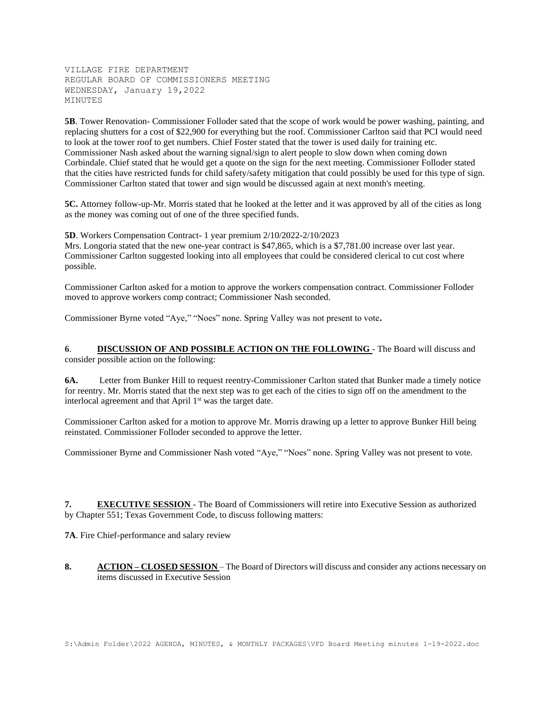**5B**. Tower Renovation- Commissioner Folloder sated that the scope of work would be power washing, painting, and replacing shutters for a cost of \$22,900 for everything but the roof. Commissioner Carlton said that PCI would need to look at the tower roof to get numbers. Chief Foster stated that the tower is used daily for training etc. Commissioner Nash asked about the warning signal/sign to alert people to slow down when coming down Corbindale. Chief stated that he would get a quote on the sign for the next meeting. Commissioner Folloder stated that the cities have restricted funds for child safety/safety mitigation that could possibly be used for this type of sign. Commissioner Carlton stated that tower and sign would be discussed again at next month's meeting.

**5C.** Attorney follow-up-Mr. Morris stated that he looked at the letter and it was approved by all of the cities as long as the money was coming out of one of the three specified funds.

**5D**. Workers Compensation Contract- 1 year premium 2/10/2022-2/10/2023

Mrs. Longoria stated that the new one-year contract is \$47,865, which is a \$7,781.00 increase over last year. Commissioner Carlton suggested looking into all employees that could be considered clerical to cut cost where possible.

Commissioner Carlton asked for a motion to approve the workers compensation contract. Commissioner Folloder moved to approve workers comp contract; Commissioner Nash seconded.

Commissioner Byrne voted "Aye," "Noes" none. Spring Valley was not present to vote**.**

**6**. **DISCUSSION OF AND POSSIBLE ACTION ON THE FOLLOWING** - The Board will discuss and consider possible action on the following:

**6A.** Letter from Bunker Hill to request reentry-Commissioner Carlton stated that Bunker made a timely notice for reentry. Mr. Morris stated that the next step was to get each of the cities to sign off on the amendment to the interlocal agreement and that April  $1<sup>st</sup>$  was the target date.

Commissioner Carlton asked for a motion to approve Mr. Morris drawing up a letter to approve Bunker Hill being reinstated. Commissioner Folloder seconded to approve the letter.

Commissioner Byrne and Commissioner Nash voted "Aye," "Noes" none. Spring Valley was not present to vote.

**7. EXECUTIVE SESSION** - The Board of Commissioners will retire into Executive Session as authorized by Chapter 551; Texas Government Code, to discuss following matters:

**7A**. Fire Chief-performance and salary review

**8. ACTION – CLOSED SESSION** – The Board of Directors will discuss and consider any actions necessary on items discussed in Executive Session

S:\Admin Folder\2022 AGENDA, MINUTES, & MONTHLY PACKAGES\VFD Board Meeting minutes 1-19-2022.doc